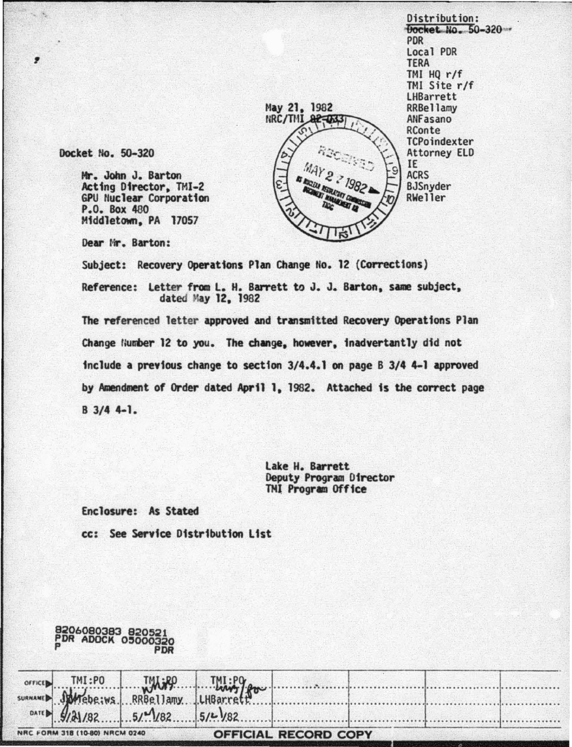Distribution: Docket No. 50-320 **PDR** Local PDR **TERA** TMI  $HQ r/f$ TMI Site r/f **LHBarrett** RRBellamv ANFasano RConte TCPoindexter **Attorney ELD** IE **ACRS** BJSnyder RWeller

Docket No. 50-320

Mr. John J. Barton Acting Director, TMI-2 GPU Nuclear Corporation P.O. Box 480 Middletown, PA 17057

Dear Mr. Barton:

Subject: Recovery Operations Plan Change No. 12 (Corrections)

Reference: Letter from L. H. Barrett to J. J. Barton, same subject, dated May 12, 1982

May 21, 1982

 $22 - 033$ 

NRC/THI

The referenced letter approved and transmitted Recovery Operations Plan Change Humber 12 to you. The change, however, inadvertantly did not include a previous change to section 3/4.4.1 on page B 3/4 4-1 approved by Amendment of Order dated April 1, 1982. Attached is the correct page  $B$  3/4 4-1.

> Lake H. Barrett Deputy Program Director TMI Program Office

Enclosure: As Stated

8206080383 820521<br>PDR ADOCK 05000320

cc: See Service Distribution List

| <b>OFFICE</b> | TMI:PO           |                                   |           |  |  |
|---------------|------------------|-----------------------------------|-----------|--|--|
| SURNAME       | Mebe:ws          | TMLRO TMI:PO<br>RRBellamy LHBarre |           |  |  |
|               | DATE B $9/31/82$ | 5/182                             | $5/2$ /82 |  |  |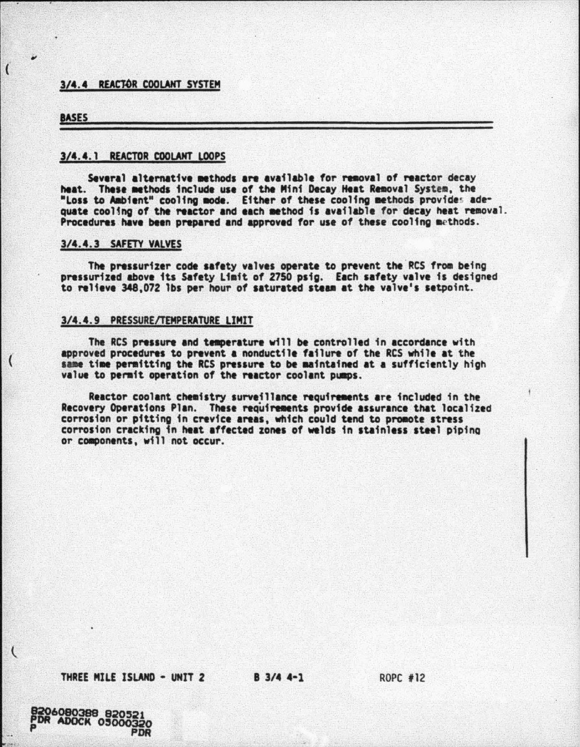# 3/4.4 REACTOR COOLANT SYSTEM

#### **BASES**

 $\overline{1}$ 

 $\overline{\mathcal{L}}$ 

 $\overline{C}$ 

## 3/4.4.1 REACTOR COOLANT LOOPS

Several alternative methods are available for removal of reactor decay heat. These methods include use of the Mini Decay Heat Removal System, the "Loss to Ambient" cooling mode. Either of these cooling methods provides adequate cooling of the reactor and each method is available for decay heat removal. Procedures have been prepared and approved for use of these cooling methods.

### 3/4.4.3 SAFETY VALVES

The pressurizer code safety valves operate to prevent the RCS from being pressurized above its Safety Limit of 2750 psig. Each safety valve is designed to relieve 348.072 lbs per hour of saturated steam at the valve's setpoint.

## 3/4.4.9 PRESSURE/TEMPERATURE LIMIT

The RCS pressure and temperature will be controlled in accordance with approved procedures to prevent a nonductile failure of the RCS while at the same time permitting the RCS pressure to be maintained at a sufficiently high value to permit operation of the reactor coolant pumps.

Reactor coolant chemistry surveillance requirements are included in the Recovery Operations Plan. These requirements provide assurance that localized corrosion or pitting in crevice areas, which could tend to promote stress corrosion cracking in heat affected zones of welds in stainless steel piping or components, will not occur.

THREE MILE ISLAND - UNIT 2

B 3/4 4-1

ROPC #12